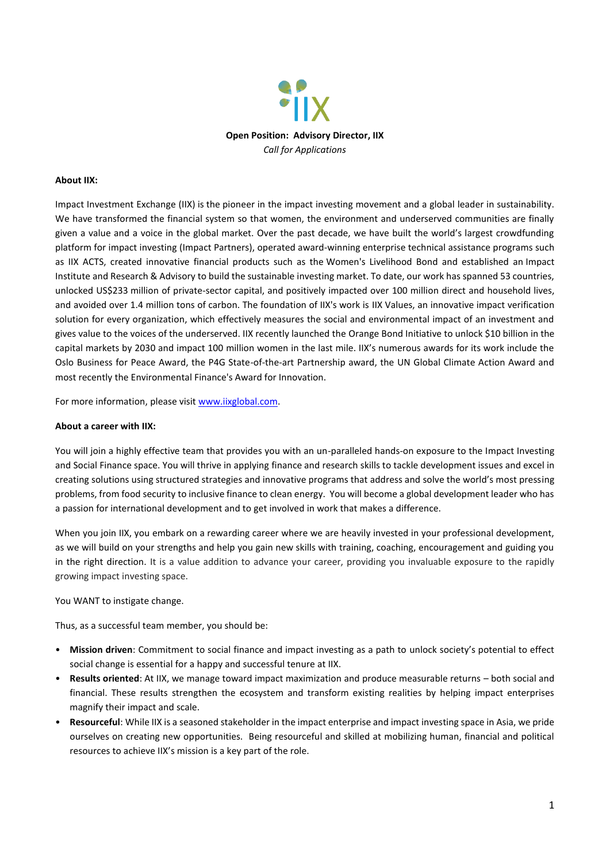

## **About IIX:**

Impact Investment Exchange [\(IIX\)](https://iixglobal.com/) is the pioneer in the impact investing movement and a global leader in sustainability. We have transformed the financial system so that women, the environment and underserved communities are finally given a value and a voice in the global market. Over the past decade, we have built the world's largest crowdfunding platform for impact investing [\(Impact Partners\)](http://impactpartners.iixglobal.com/), operated award-winning enterprise technical assistance programs such as [IIX ACTS,](https://iixglobal.com/iix-acts-aims/) created innovative financial products such as the [Women's Livelihood Bond](https://iixglobal.com/womens-livelihood-bond-series/) and established an [Impact](https://institute.iixfoundation.org/)  [Institute](https://institute.iixfoundation.org/) and [Research & Advisory](https://iixglobal.com/research-and-insights/) to build the sustainable investing market. To date, our work has spanned 53 countries, unlocked US\$233 million of private-sector capital, and positively impacted over 100 million direct and household lives, and avoided over 1.4 million tons of carbon. The foundation of IIX's work is [IIX Values,](https://iixvalues.com/) an innovative impact verification solution for every organization, which effectively measures the social and environmental impact of an investment and gives value to the voices of the underserved. IIX recently launched the [Orange Bond Initiative](https://iixglobal.com/orange-bond-initiative/) [t](https://iixglobal.com/orange-bond-initiative/)o unlock \$10 billion in the capital markets by 2030 and impact 100 million women in the last mile. IIX's numerous awards for its work include the Oslo Business for Peace Award, the P4G State-of-the-art Partnership award, the UN Global Climate Action Award and most recently the Environmental Finance's Award for Innovation.

For more information, please visit [www.iixglobal.com.](file:///C:/Users/ancy/Dropbox/HR/Recruitment/Shujog/www.iixglobal.com) 

## **About a career with IIX:**

You will join a highly effective team that provides you with an un-paralleled hands-on exposure to the Impact Investing and Social Finance space. You will thrive in applying finance and research skills to tackle development issues and excel in creating solutions using structured strategies and innovative programs that address and solve the world's most pressing problems, from food security to inclusive finance to clean energy. You will become a global development leader who has a passion for international development and to get involved in work that makes a difference.

When you join IIX, you embark on a rewarding career where we are heavily invested in your professional development, as we will build on your strengths and help you gain new skills with training, coaching, encouragement and guiding you in the right direction. It is a value addition to advance your career, providing you invaluable exposure to the rapidly growing impact investing space.

### You WANT to instigate change.

Thus, as a successful team member, you should be:

- **Mission driven**: Commitment to social finance and impact investing as a path to unlock society's potential to effect social change is essential for a happy and successful tenure at IIX.
- **Results oriented**: At IIX, we manage toward impact maximization and produce measurable returns both social and financial. These results strengthen the ecosystem and transform existing realities by helping impact enterprises magnify their impact and scale.
- **Resourceful**: While IIX is a seasoned stakeholder in the impact enterprise and impact investing space in Asia, we pride ourselves on creating new opportunities. Being resourceful and skilled at mobilizing human, financial and political resources to achieve IIX's mission is a key part of the role.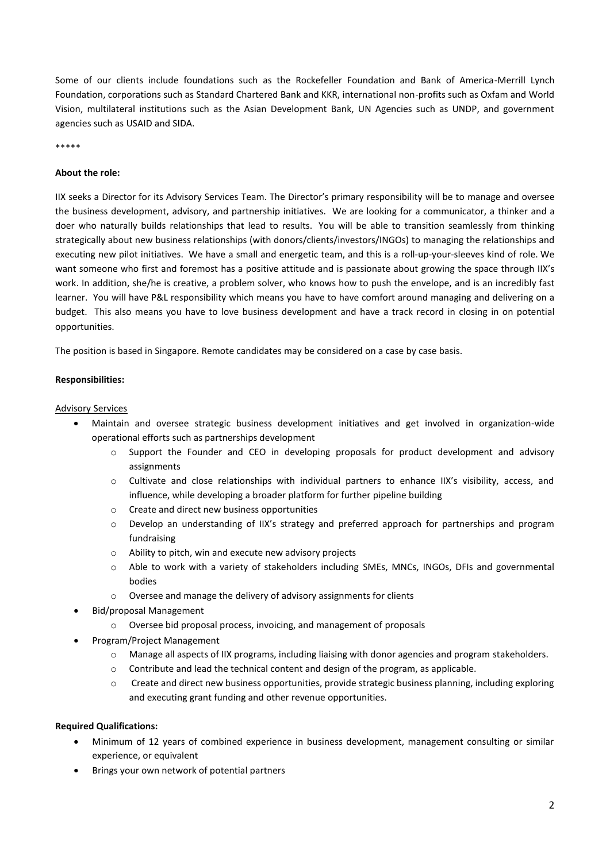Some of our clients include foundations such as the Rockefeller Foundation and Bank of America-Merrill Lynch Foundation, corporations such as Standard Chartered Bank and KKR, international non-profits such as Oxfam and World Vision, multilateral institutions such as the Asian Development Bank, UN Agencies such as UNDP, and government agencies such as USAID and SIDA.

\*\*\*\*\*

# **About the role:**

IIX seeks a Director for its Advisory Services Team. The Director's primary responsibility will be to manage and oversee the business development, advisory, and partnership initiatives. We are looking for a communicator, a thinker and a doer who naturally builds relationships that lead to results. You will be able to transition seamlessly from thinking strategically about new business relationships (with donors/clients/investors/INGOs) to managing the relationships and executing new pilot initiatives. We have a small and energetic team, and this is a roll-up-your-sleeves kind of role. We want someone who first and foremost has a positive attitude and is passionate about growing the space through IIX's work. In addition, she/he is creative, a problem solver, who knows how to push the envelope, and is an incredibly fast learner. You will have P&L responsibility which means you have to have comfort around managing and delivering on a budget. This also means you have to love business development and have a track record in closing in on potential opportunities.

The position is based in Singapore. Remote candidates may be considered on a case by case basis.

## **Responsibilities:**

## Advisory Services

- Maintain and oversee strategic business development initiatives and get involved in organization-wide operational efforts such as partnerships development
	- o Support the Founder and CEO in developing proposals for product development and advisory assignments
	- o Cultivate and close relationships with individual partners to enhance IIX's visibility, access, and influence, while developing a broader platform for further pipeline building
	- o Create and direct new business opportunities
	- o Develop an understanding of IIX's strategy and preferred approach for partnerships and program fundraising
	- o Ability to pitch, win and execute new advisory projects
	- o Able to work with a variety of stakeholders including SMEs, MNCs, INGOs, DFIs and governmental bodies
	- o Oversee and manage the delivery of advisory assignments for clients
- Bid/proposal Management
	- o Oversee bid proposal process, invoicing, and management of proposals
- Program/Project Management
	- o Manage all aspects of IIX programs, including liaising with donor agencies and program stakeholders.
	- $\circ$  Contribute and lead the technical content and design of the program, as applicable.
	- o Create and direct new business opportunities, provide strategic business planning, including exploring and executing grant funding and other revenue opportunities.

# **Required Qualifications:**

- Minimum of 12 years of combined experience in business development, management consulting or similar experience, or equivalent
- Brings your own network of potential partners